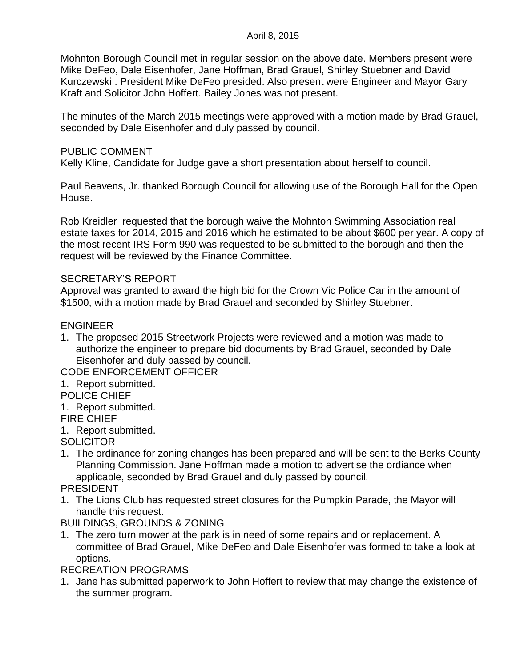Mohnton Borough Council met in regular session on the above date. Members present were Mike DeFeo, Dale Eisenhofer, Jane Hoffman, Brad Grauel, Shirley Stuebner and David Kurczewski . President Mike DeFeo presided. Also present were Engineer and Mayor Gary Kraft and Solicitor John Hoffert. Bailey Jones was not present.

The minutes of the March 2015 meetings were approved with a motion made by Brad Grauel, seconded by Dale Eisenhofer and duly passed by council.

### PUBLIC COMMENT

Kelly Kline, Candidate for Judge gave a short presentation about herself to council.

Paul Beavens, Jr. thanked Borough Council for allowing use of the Borough Hall for the Open House.

Rob Kreidler requested that the borough waive the Mohnton Swimming Association real estate taxes for 2014, 2015 and 2016 which he estimated to be about \$600 per year. A copy of the most recent IRS Form 990 was requested to be submitted to the borough and then the request will be reviewed by the Finance Committee.

### SECRETARY'S REPORT

Approval was granted to award the high bid for the Crown Vic Police Car in the amount of \$1500, with a motion made by Brad Grauel and seconded by Shirley Stuebner.

# ENGINEER

1. The proposed 2015 Streetwork Projects were reviewed and a motion was made to authorize the engineer to prepare bid documents by Brad Grauel, seconded by Dale Eisenhofer and duly passed by council.

CODE ENFORCEMENT OFFICER

1. Report submitted.

POLICE CHIEF

- 1. Report submitted.
- FIRE CHIEF
- 1. Report submitted.

**SOLICITOR** 

1. The ordinance for zoning changes has been prepared and will be sent to the Berks County Planning Commission. Jane Hoffman made a motion to advertise the ordiance when applicable, seconded by Brad Grauel and duly passed by council.

## PRESIDENT

1. The Lions Club has requested street closures for the Pumpkin Parade, the Mayor will handle this request.

BUILDINGS, GROUNDS & ZONING

1. The zero turn mower at the park is in need of some repairs and or replacement. A committee of Brad Grauel, Mike DeFeo and Dale Eisenhofer was formed to take a look at options.

RECREATION PROGRAMS

1. Jane has submitted paperwork to John Hoffert to review that may change the existence of the summer program.